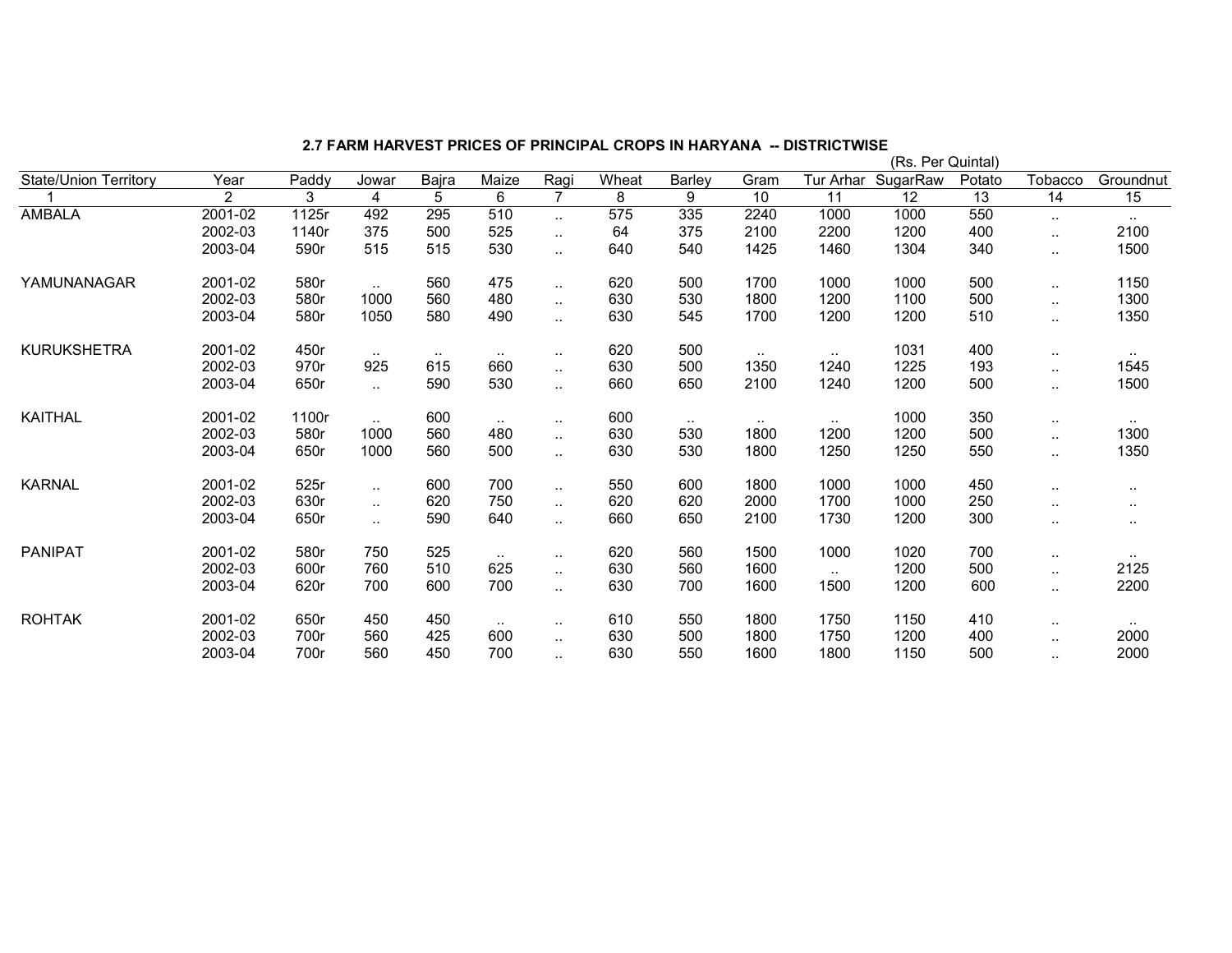|                              |                |       |                      |        |               |                      |       |               |        |           | (Rs. Per Quintal) |        |                      |               |
|------------------------------|----------------|-------|----------------------|--------|---------------|----------------------|-------|---------------|--------|-----------|-------------------|--------|----------------------|---------------|
| <b>State/Union Territory</b> | Year           | Paddy | Jowar                | Bajra  | Maize         | Ragi                 | Wheat | Barley        | Gram   | Tur Arhar | SugarRaw          | Potato | Tobacco              | Groundnut     |
|                              | $\overline{2}$ | 3     | 4                    | 5      | 6             | $\overline{7}$       | 8     | 9             | 10     | 11        | 12                | 13     | 14                   | 15            |
| <b>AMBALA</b>                | 2001-02        | 1125r | 492                  | 295    | 510           | $\ddotsc$            | 575   | 335           | 2240   | 1000      | 1000              | 550    | $\cdot$ .            | $\sim$        |
|                              | 2002-03        | 1140r | 375                  | 500    | 525           | $\ldots$             | 64    | 375           | 2100   | 2200      | 1200              | 400    | $\ldots$             | 2100          |
|                              | 2003-04        | 590r  | 515                  | 515    | 530           | $\ddotsc$            | 640   | 540           | 1425   | 1460      | 1304              | 340    | $\cdot$ .            | 1500          |
| YAMUNANAGAR                  | 2001-02        | 580r  | $\sim$ $\sim$        | 560    | 475           | $\sim$               | 620   | 500           | 1700   | 1000      | 1000              | 500    | $\ddotsc$            | 1150          |
|                              | 2002-03        | 580r  | 1000                 | 560    | 480           | $\ldots$             | 630   | 530           | 1800   | 1200      | 1100              | 500    | $\ldots$             | 1300          |
|                              | 2003-04        | 580r  | 1050                 | 580    | 490           | $\ldots$             | 630   | 545           | 1700   | 1200      | 1200              | 510    | $\ldots$             | 1350          |
| <b>KURUKSHETRA</b>           | 2001-02        | 450r  | $\sim$ $\sim$        | $\sim$ | $\sim$ $\sim$ | $\sim$               | 620   | 500           | $\sim$ | $\sim$    | 1031              | 400    | $\sim$               | $\sim$        |
|                              | 2002-03        | 970r  | 925                  | 615    | 660           | $\sim$               | 630   | 500           | 1350   | 1240      | 1225              | 193    | $\sim$               | 1545          |
|                              | 2003-04        | 650r  | $\mathbf{r}$ .       | 590    | 530           | $\ddotsc$            | 660   | 650           | 2100   | 1240      | 1200              | 500    | $\ddotsc$            | 1500          |
| <b>KAITHAL</b>               | 2001-02        | 1100r | $\sim$               | 600    | $\sim$        | $\sim$               | 600   | $\sim$ $\sim$ | $\sim$ | $\sim$    | 1000              | 350    | $\sim$               | $\sim$ $\sim$ |
|                              | 2002-03        | 580r  | 1000                 | 560    | 480           | $\sim$               | 630   | 530           | 1800   | 1200      | 1200              | 500    | $\cdot$ .            | 1300          |
|                              | 2003-04        | 650r  | 1000                 | 560    | 500           | $\ldots$             | 630   | 530           | 1800   | 1250      | 1250              | 550    | $\cdot$ .            | 1350          |
| <b>KARNAL</b>                | 2001-02        | 525r  | $\ddotsc$            | 600    | 700           | $\ddotsc$            | 550   | 600           | 1800   | 1000      | 1000              | 450    | $\sim$               | $\cdots$      |
|                              | 2002-03        | 630r  | $\mathbf{r}$ .       | 620    | 750           | $\ddot{\phantom{a}}$ | 620   | 620           | 2000   | 1700      | 1000              | 250    | $\ddot{\phantom{a}}$ |               |
|                              | 2003-04        | 650r  | $\ddot{\phantom{1}}$ | 590    | 640           | $\ddot{\phantom{1}}$ | 660   | 650           | 2100   | 1730      | 1200              | 300    | $\sim$               | $\sim$        |
| <b>PANIPAT</b>               | 2001-02        | 580r  | 750                  | 525    | $\sim$        | $\sim$               | 620   | 560           | 1500   | 1000      | 1020              | 700    | $\sim$               | $\sim$ $\sim$ |
|                              | 2002-03        | 600r  | 760                  | 510    | 625           | $\ddotsc$            | 630   | 560           | 1600   | $\ddotsc$ | 1200              | 500    | $\ddotsc$            | 2125          |
|                              | 2003-04        | 620r  | 700                  | 600    | 700           | $\ldots$             | 630   | 700           | 1600   | 1500      | 1200              | 600    | $\cdot$ .            | 2200          |
| <b>ROHTAK</b>                | 2001-02        | 650r  | 450                  | 450    | $\sim$ $\sim$ | $\ddotsc$            | 610   | 550           | 1800   | 1750      | 1150              | 410    | $\ddotsc$            | $\cdot$ .     |
|                              | 2002-03        | 700r  | 560                  | 425    | 600           | $\ddotsc$            | 630   | 500           | 1800   | 1750      | 1200              | 400    | $\ddotsc$            | 2000          |
|                              | 2003-04        | 700r  | 560                  | 450    | 700           | $\ddotsc$            | 630   | 550           | 1600   | 1800      | 1150              | 500    | $\ddotsc$            | 2000          |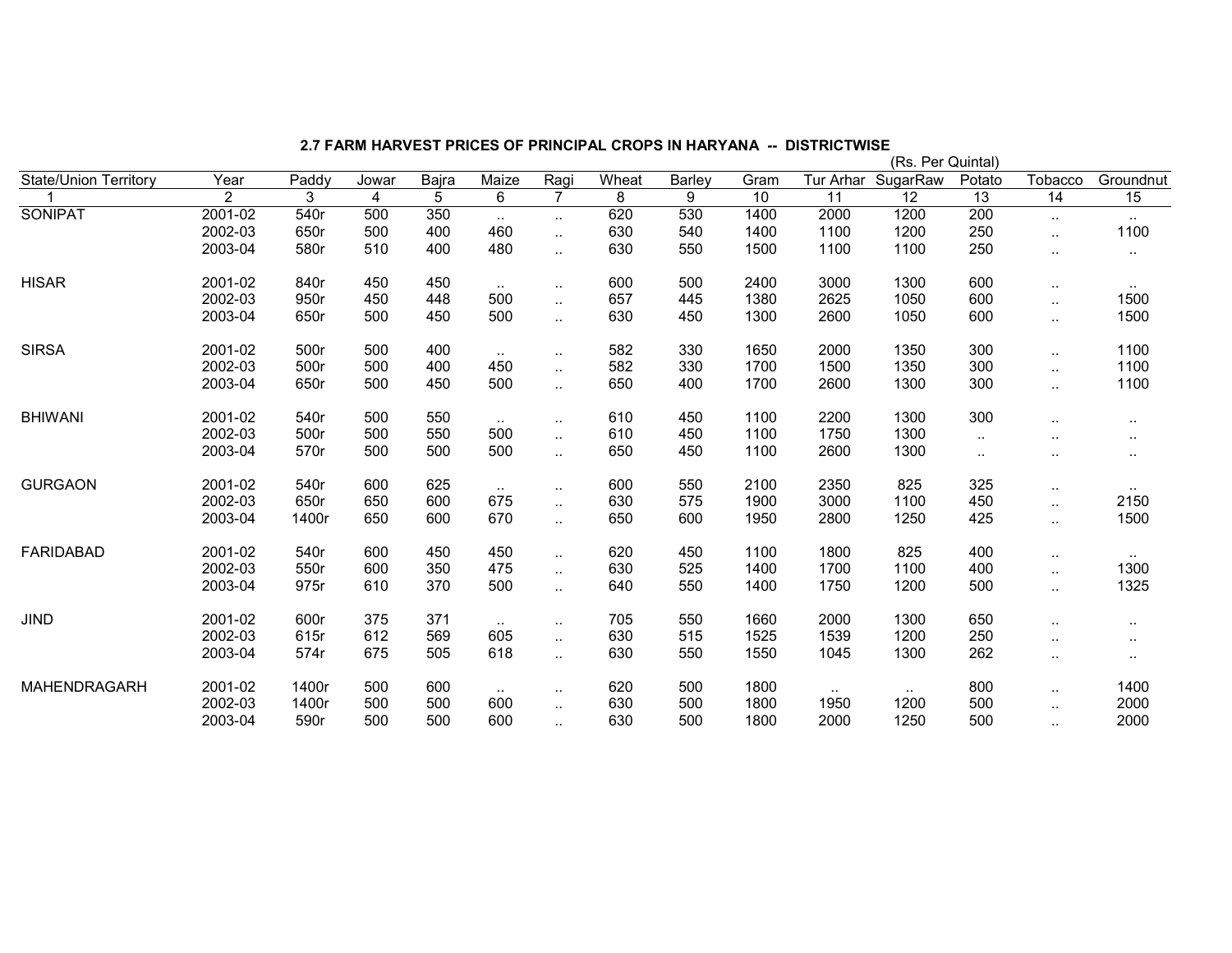|                              |                |       |       |       |               |                        |       |        |      |           | (Rs. Per Quintal) |                 |           |               |
|------------------------------|----------------|-------|-------|-------|---------------|------------------------|-------|--------|------|-----------|-------------------|-----------------|-----------|---------------|
| <b>State/Union Territory</b> | Year           | Paddy | Jowar | Bajra | Maize         | Ragi                   | Wheat | Barley | Gram | Tur Arhar | SugarRaw          | Potato          | Tobacco   | Groundnut     |
|                              | $\overline{2}$ | 3     | 4     | 5     | 6             | $\overline{7}$         | 8     | 9      | 10   | 11        | 12                | $\overline{13}$ | 14        | 15            |
| <b>SONIPAT</b>               | 2001-02        | 540r  | 500   | 350   | $\sim$        | $\sim$                 | 620   | 530    | 1400 | 2000      | 1200              | 200             | $\ldots$  | $\sim$        |
|                              | 2002-03        | 650r  | 500   | 400   | 460           | $\ddotsc$              | 630   | 540    | 1400 | 1100      | 1200              | 250             | $\ddotsc$ | 1100          |
|                              | 2003-04        | 580r  | 510   | 400   | 480           | $\ddotsc$              | 630   | 550    | 1500 | 1100      | 1100              | 250             | $\cdot$ . | $\sim$ $\sim$ |
| <b>HISAR</b>                 | 2001-02        | 840r  | 450   | 450   | $\sim$        | $\sim$                 | 600   | 500    | 2400 | 3000      | 1300              | 600             | $\sim$    | $\sim$        |
|                              | 2002-03        | 950r  | 450   | 448   | 500           | $\ddotsc$              | 657   | 445    | 1380 | 2625      | 1050              | 600             | $\ddotsc$ | 1500          |
|                              | 2003-04        | 650r  | 500   | 450   | 500           | $\ddotsc$              | 630   | 450    | 1300 | 2600      | 1050              | 600             | $\ddotsc$ | 1500          |
| <b>SIRSA</b>                 | 2001-02        | 500r  | 500   | 400   | $\sim$ $\sim$ | $\sim$                 | 582   | 330    | 1650 | 2000      | 1350              | 300             | $\cdot$ . | 1100          |
|                              | 2002-03        | 500r  | 500   | 400   | 450           | $\ldots$               | 582   | 330    | 1700 | 1500      | 1350              | 300             | $\sim$    | 1100          |
|                              | 2003-04        | 650r  | 500   | 450   | 500           | $\ddotsc$              | 650   | 400    | 1700 | 2600      | 1300              | 300             | $\ddotsc$ | 1100          |
| <b>BHIWANI</b>               | 2001-02        | 540r  | 500   | 550   | $\sim$        | $\ddot{\phantom{a}}$ . | 610   | 450    | 1100 | 2200      | 1300              | 300             |           |               |
|                              | 2002-03        | 500r  | 500   | 550   | 500           | $\ddotsc$              | 610   | 450    | 1100 | 1750      | 1300              | $\sim$          |           | $\cdot$ .     |
|                              | 2003-04        | 570r  | 500   | 500   | 500           | $\sim$                 | 650   | 450    | 1100 | 2600      | 1300              | $\sim$          | $\sim$    | $\cdot$ .     |
| <b>GURGAON</b>               | 2001-02        | 540r  | 600   | 625   | $\sim$        | $\ddot{\phantom{1}}$   | 600   | 550    | 2100 | 2350      | 825               | 325             | $\ddotsc$ |               |
|                              | 2002-03        | 650r  | 650   | 600   | 675           | $\ddot{\phantom{a}}$ . | 630   | 575    | 1900 | 3000      | 1100              | 450             | $\ddotsc$ | 2150          |
|                              | 2003-04        | 1400r | 650   | 600   | 670           | $\ddotsc$              | 650   | 600    | 1950 | 2800      | 1250              | 425             | $\cdot$ . | 1500          |
| <b>FARIDABAD</b>             | 2001-02        | 540r  | 600   | 450   | 450           | $\sim$                 | 620   | 450    | 1100 | 1800      | 825               | 400             | $\sim$    | $\sim$        |
|                              | 2002-03        | 550r  | 600   | 350   | 475           | $\ddot{\phantom{a}}$   | 630   | 525    | 1400 | 1700      | 1100              | 400             | $\ddotsc$ | 1300          |
|                              | 2003-04        | 975r  | 610   | 370   | 500           | $\sim$                 | 640   | 550    | 1400 | 1750      | 1200              | 500             | $\ldots$  | 1325          |
| <b>JIND</b>                  | 2001-02        | 600r  | 375   | 371   | $\mathbf{L}$  | $\sim$                 | 705   | 550    | 1660 | 2000      | 1300              | 650             | $\cdot$ . | $\sim$ $\sim$ |
|                              | 2002-03        | 615r  | 612   | 569   | 605           | $\ddotsc$              | 630   | 515    | 1525 | 1539      | 1200              | 250             | . .       |               |
|                              | 2003-04        | 574r  | 675   | 505   | 618           | $\ddotsc$              | 630   | 550    | 1550 | 1045      | 1300              | 262             | $\ddotsc$ |               |
| MAHENDRAGARH                 | 2001-02        | 1400r | 500   | 600   | $\sim$        | $\ddotsc$              | 620   | 500    | 1800 | $\sim$    |                   | 800             | $\cdot$ . | 1400          |
|                              | 2002-03        | 1400r | 500   | 500   | 600           | $\ddotsc$              | 630   | 500    | 1800 | 1950      | 1200              | 500             | $\cdot$ . | 2000          |
|                              | 2003-04        | 590r  | 500   | 500   | 600           | $\ddotsc$              | 630   | 500    | 1800 | 2000      | 1250              | 500             | $\ddotsc$ | 2000          |

2.7 FARM HARVEST PRICES OF PRINCIPAL CROPS IN HARYANA -- DISTRICTWISE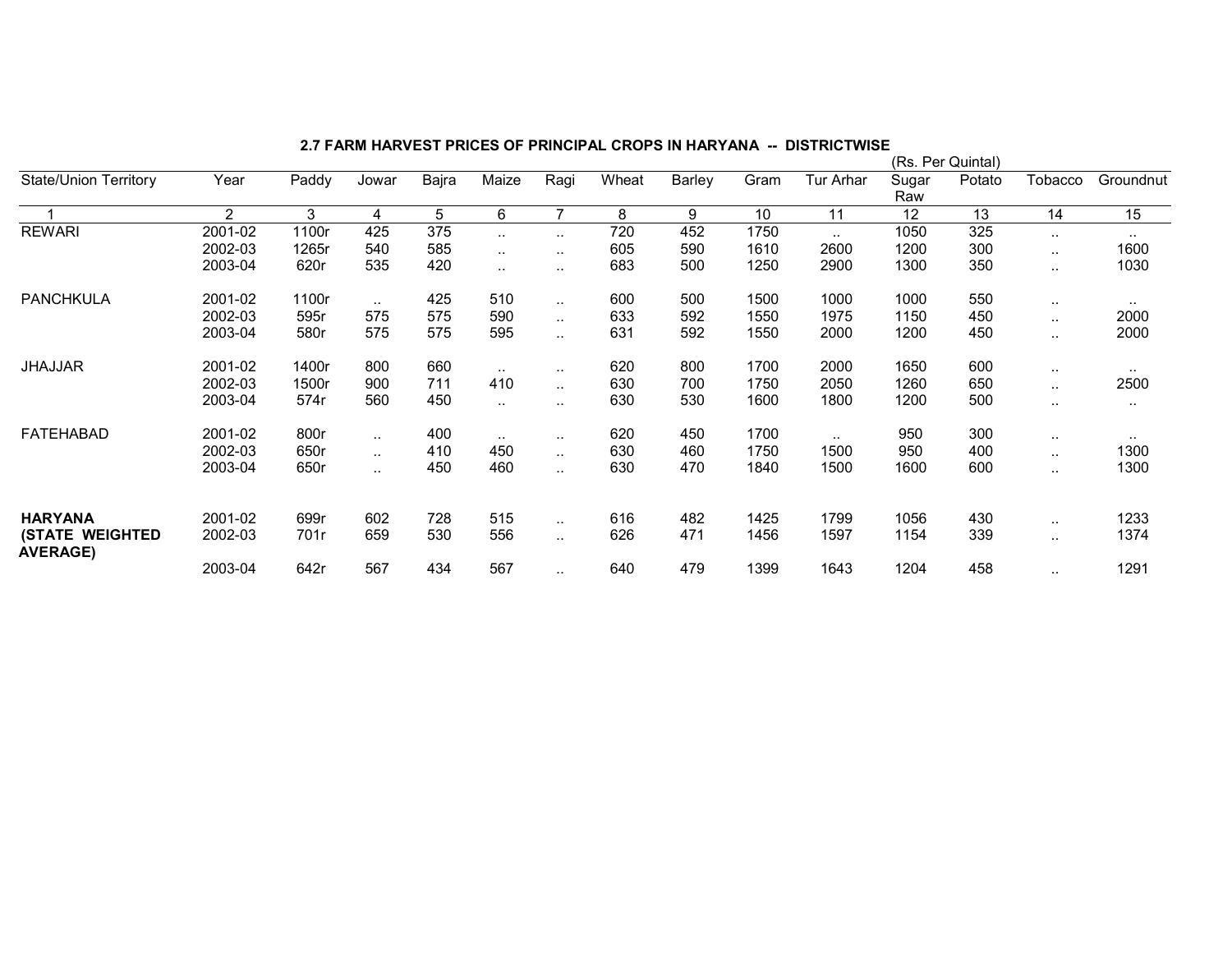|                                           |                |       |           |       |               |                |       |        | (Rs. Per Quintal) |           |              |        |               |               |  |
|-------------------------------------------|----------------|-------|-----------|-------|---------------|----------------|-------|--------|-------------------|-----------|--------------|--------|---------------|---------------|--|
| <b>State/Union Territory</b>              | Year           | Paddy | Jowar     | Bajra | Maize         | Ragi           | Wheat | Barley | Gram              | Tur Arhar | Sugar<br>Raw | Potato | Tobacco       | Groundnut     |  |
|                                           | $\overline{2}$ | 3     | 4         | 5     | 6             | $\overline{7}$ | 8     | 9      | 10                | 11        | 12           | 13     | 14            | 15            |  |
| <b>REWARI</b>                             | 2001-02        | 1100r | 425       | 375   |               | $\sim$ $\sim$  | 720   | 452    | 1750              | $\ddotsc$ | 1050         | 325    |               | $\sim$ $\sim$ |  |
|                                           | 2002-03        | 1265r | 540       | 585   | $\sim$ $\sim$ | $\sim$ $\sim$  | 605   | 590    | 1610              | 2600      | 1200         | 300    |               | 1600          |  |
|                                           | 2003-04        | 620r  | 535       | 420   |               | $\sim$ $\sim$  | 683   | 500    | 1250              | 2900      | 1300         | 350    |               | 1030          |  |
| <b>PANCHKULA</b>                          | 2001-02        | 1100r |           | 425   | 510           | $\ddotsc$      | 600   | 500    | 1500              | 1000      | 1000         | 550    |               | $\sim$        |  |
|                                           | 2002-03        | 595r  | 575       | 575   | 590           | $\ddotsc$      | 633   | 592    | 1550              | 1975      | 1150         | 450    |               | 2000          |  |
|                                           | 2003-04        | 580r  | 575       | 575   | 595           | $\ddotsc$      | 631   | 592    | 1550              | 2000      | 1200         | 450    |               | 2000          |  |
| <b>JHAJJAR</b>                            | 2001-02        | 1400r | 800       | 660   |               | $\sim$ $\sim$  | 620   | 800    | 1700              | 2000      | 1650         | 600    | $\cdot$ .     | $\sim$        |  |
|                                           | 2002-03        | 1500r | 900       | 711   | 410           | $\ddotsc$      | 630   | 700    | 1750              | 2050      | 1260         | 650    |               | 2500          |  |
|                                           | 2003-04        | 574r  | 560       | 450   | $\ddotsc$     | $\sim$ $\sim$  | 630   | 530    | 1600              | 1800      | 1200         | 500    |               | $\sim$ $\sim$ |  |
| <b>FATEHABAD</b>                          | 2001-02        | 800r  | $\ddotsc$ | 400   |               | $\sim$ $\sim$  | 620   | 450    | 1700              | $\ddotsc$ | 950          | 300    |               |               |  |
|                                           | 2002-03        | 650r  | $\ddotsc$ | 410   | 450           | $\ddotsc$      | 630   | 460    | 1750              | 1500      | 950          | 400    | $\sim$ $\sim$ | 1300          |  |
|                                           | 2003-04        | 650r  | $\ddotsc$ | 450   | 460           | $\ddotsc$      | 630   | 470    | 1840              | 1500      | 1600         | 600    |               | 1300          |  |
|                                           |                |       |           |       |               |                |       |        |                   |           |              |        |               |               |  |
| <b>HARYANA</b>                            | 2001-02        | 699r  | 602       | 728   | 515           | $\sim$         | 616   | 482    | 1425              | 1799      | 1056         | 430    | $\ddotsc$     | 1233          |  |
| <b>(STATE WEIGHTED</b><br><b>AVERAGE)</b> | 2002-03        | 701r  | 659       | 530   | 556           | $\ddotsc$      | 626   | 471    | 1456              | 1597      | 1154         | 339    |               | 1374          |  |
|                                           | 2003-04        | 642r  | 567       | 434   | 567           | $\ddotsc$      | 640   | 479    | 1399              | 1643      | 1204         | 458    |               | 1291          |  |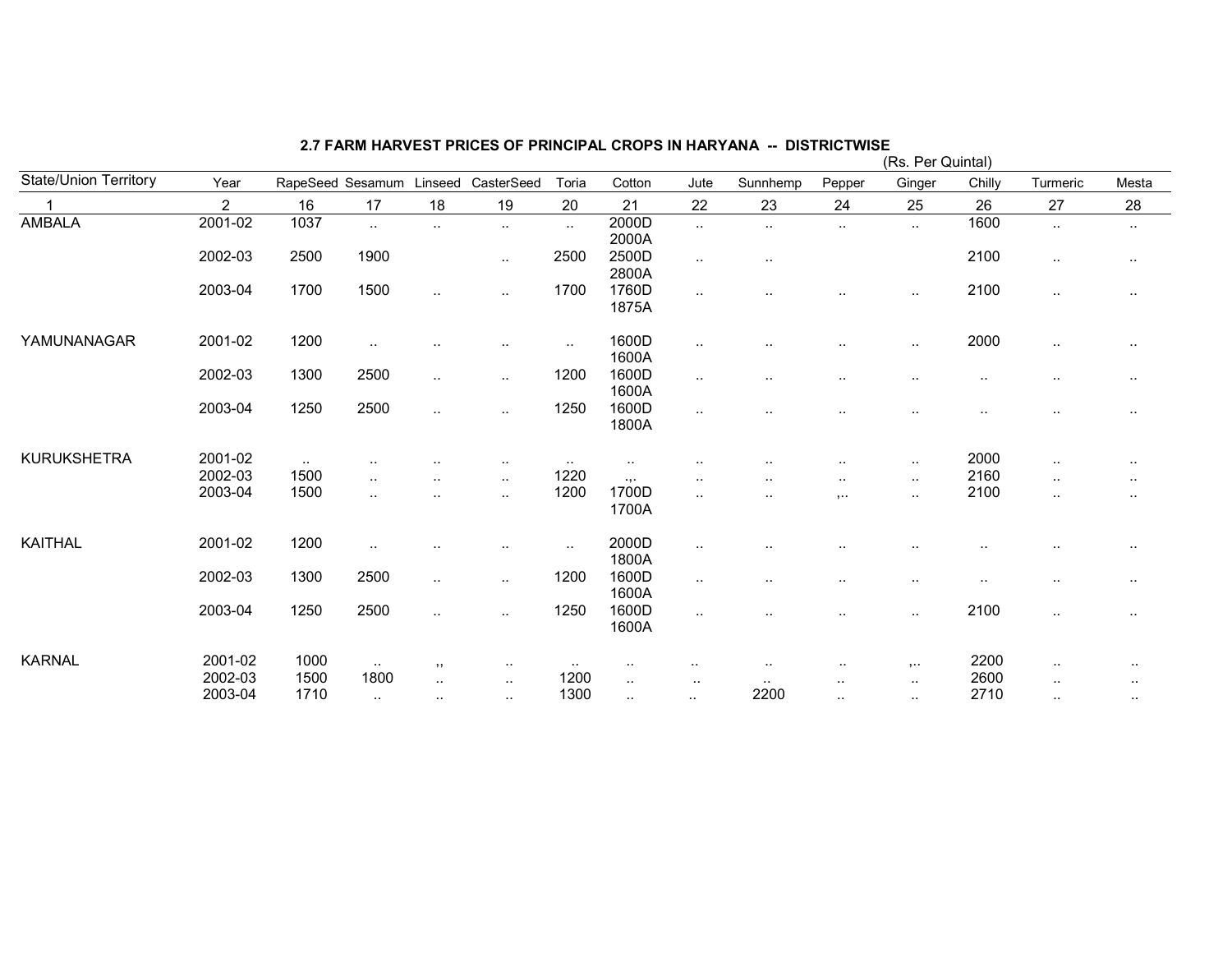|                              |                    |               |                      |                      |                                     |                      |                  |                        |                |                         | (Rs. Per Quintal)    |              |                     |                       |
|------------------------------|--------------------|---------------|----------------------|----------------------|-------------------------------------|----------------------|------------------|------------------------|----------------|-------------------------|----------------------|--------------|---------------------|-----------------------|
| <b>State/Union Territory</b> | Year               |               |                      |                      | RapeSeed Sesamum Linseed CasterSeed | Toria                | Cotton           | Jute                   | Sunnhemp       | Pepper                  | Ginger               | Chilly       | Turmeric            | Mesta                 |
|                              | $\overline{2}$     | 16            | 17                   | 18                   | 19                                  | 20                   | 21               | 22                     | 23             | 24                      | 25                   | 26           | 27                  | 28                    |
| <b>AMBALA</b>                | 2001-02            | 1037          | $\sim$               | $\ddot{\phantom{a}}$ | $\sim$                              | $\ddot{\phantom{1}}$ | 2000D<br>2000A   | $\sim$                 | $\cdot$ .      | $\sim$                  | $\sim$               | 1600         | $\sim$              | $\sim$                |
|                              | 2002-03            | 2500          | 1900                 |                      | $\sim$                              | 2500                 | 2500D<br>2800A   | $\sim$                 | $\cdot$ .      |                         |                      | 2100         | $\cdot$ .           | $\cdot$ .             |
|                              | 2003-04            | 1700          | 1500                 | $\ddot{\phantom{1}}$ | $\cdot$ .                           | 1700                 | 1760D<br>1875A   | $\sim$                 |                | $\sim$                  | $\sim$               | 2100         | $\cdot$ .           | $\sim$                |
| YAMUNANAGAR                  | 2001-02            | 1200          | $\cdot$ .            |                      | $\cdot$ .                           | $\sim$               | 1600D<br>1600A   | $\sim$                 |                | ٠.                      | $\sim$               | 2000         | $\cdot$ .           | $\cdot$ .             |
|                              | 2002-03            | 1300          | 2500                 | $\ddotsc$            | $\sim$                              | 1200                 | 1600D<br>1600A   | $\sim$                 | . .            | $\sim$                  | ٠.                   | $\sim$       | $\sim$              | $\cdot$ .             |
|                              | 2003-04            | 1250          | 2500                 | $\ddot{\phantom{1}}$ | $\cdot$ .                           | 1250                 | 1600D<br>1800A   | $\sim$                 | $\sim$         | $\sim$                  | $\cdot$ .            | $\sim$       | $\sim$              | $\cdot$ .             |
| <b>KURUKSHETRA</b>           | 2001-02            | $\sim$ $\sim$ |                      |                      | $\sim$                              | $\sim$ $\sim$        | $\sim$           |                        |                | $\sim$                  | $\sim$               | 2000         | $\cdot$ .           | $\sim$                |
|                              | 2002-03            | 1500          | $\ddot{\phantom{a}}$ | $\ddotsc$            | $\sim$                              | 1220                 | $\cdot$ , .      | $\sim$ $\sim$          | $\sim$ $\sim$  | $\cdot$ .               | $\sim$ $\sim$        | 2160         | $\cdot$ .           | $\sim$                |
|                              | 2003-04            | 1500          | $\cdot$ .            | $\ddot{\phantom{a}}$ | $\cdot$ .                           | 1200                 | 1700D<br>1700A   |                        | $\sim$ $\sim$  | $, \ldots$              | $\sim$               | 2100         | $\cdot$ .           | $\cdot$ .             |
| <b>KAITHAL</b>               | 2001-02            | 1200          | $\cdot$ .            | $\cdot$ .            | $\cdot$ .                           | $\sim$               | 2000D<br>1800A   | $\cdot$ .              | $\cdot$ .      | $\sim$                  | $\ddot{\phantom{a}}$ |              | $\sim$              | $\ddot{\phantom{a}}$  |
|                              | 2002-03            | 1300          | 2500                 | $\sim$               | $\sim$                              | 1200                 | 1600D<br>1600A   | $\sim$                 |                | ٠.                      | $\sim$               | $\sim$       | $\cdot$ .           | $\cdot$ .             |
|                              | 2003-04            | 1250          | 2500                 | $\ddotsc$            | $\cdot$ .                           | 1250                 | 1600D<br>1600A   |                        | . .            | ٠.                      | $\sim$               | 2100         | $\cdot$ .           | $\sim$                |
| <b>KARNAL</b>                | 2001-02            | 1000          | $\sim$               | , ,                  | $\sim$ $\sim$                       | $\sim$               | $\sim$           |                        | $\sim$ $\sim$  | $\sim$                  | $, \ldots$           | 2200         | $\cdot$ .           | $\sim$ $\sim$         |
|                              | 2002-03<br>2003-04 | 1500<br>1710  | 1800<br>$\sim$       | $\cdot$ .<br>$\sim$  | $\sim$<br>$\sim$                    | 1200<br>1300         | $\sim$<br>$\sim$ | $\cdot$ .<br>$\cdot$ . | $\sim$<br>2200 | $\sim$<br>$\sim$ $\sim$ | $\sim$<br>$\sim$     | 2600<br>2710 | $\cdot$ .<br>$\sim$ | $\cdots$<br>$\cdot$ . |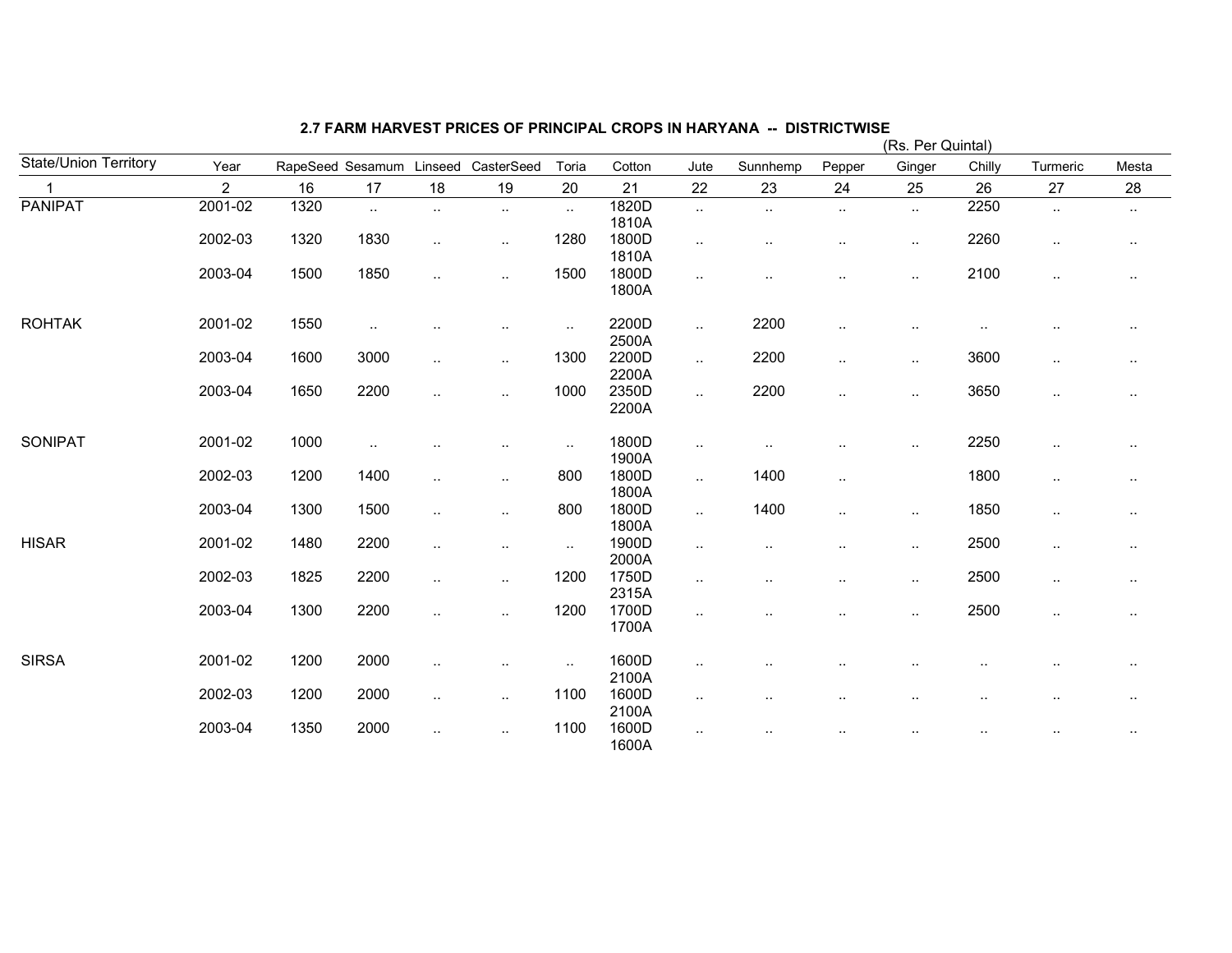|                              |                |      |                  |           |            |        |                |                      |                      |                        | (Rs. Per Quintal) |                      |           |                      |
|------------------------------|----------------|------|------------------|-----------|------------|--------|----------------|----------------------|----------------------|------------------------|-------------------|----------------------|-----------|----------------------|
| <b>State/Union Territory</b> | Year           |      | RapeSeed Sesamum | Linseed   | CasterSeed | Toria  | Cotton         | Jute                 | Sunnhemp             | Pepper                 | Ginger            | Chilly               | Turmeric  | Mesta                |
| $\mathbf{1}$                 | $\overline{2}$ | 16   | 17               | 18        | 19         | 20     | 21             | 22                   | 23                   | 24                     | 25                | 26                   | 27        | 28                   |
| <b>PANIPAT</b>               | 2001-02        | 1320 | $\ddotsc$        | $\sim$    | $\cdot$ .  | $\sim$ | 1820D          | $\sim$               | $\ddotsc$            | $\sim$                 | $\sim$            | 2250                 | $\sim$    | $\sim$               |
|                              |                |      |                  |           |            |        | 1810A          |                      |                      |                        |                   |                      |           |                      |
|                              | 2002-03        | 1320 | 1830             | $\sim$    | $\sim$     | 1280   | 1800D          | $\ddotsc$            | $\ddot{\phantom{a}}$ | $\ddot{\phantom{0}}$   | $\cdot$ .         | 2260                 | $\sim$    | $\sim$               |
|                              |                |      |                  |           |            |        | 1810A          |                      |                      |                        |                   |                      |           |                      |
|                              | 2003-04        | 1500 | 1850             | $\ddotsc$ | $\cdot$ .  | 1500   | 1800D          | $\cdot$ .            | . .                  |                        | $\cdot$ .         | 2100                 | $\cdot$ . | $\ddot{\phantom{1}}$ |
|                              |                |      |                  |           |            |        | 1800A          |                      |                      |                        |                   |                      |           |                      |
| <b>ROHTAK</b>                | 2001-02        | 1550 | $\cdot$ .        |           | $\cdot$ .  | $\sim$ | 2200D          | $\ddotsc$            | 2200                 | ٠.                     |                   | $\cdot$ .            | $\sim$    | $\sim$               |
|                              |                |      |                  |           |            |        | 2500A          |                      |                      |                        |                   |                      |           |                      |
|                              | 2003-04        | 1600 | 3000             | $\ddotsc$ | $\cdot$ .  | 1300   | 2200D          | $\sim$               | 2200                 | ٠.                     | $\cdot$ .         | 3600                 | $\sim$    | $\sim$               |
|                              |                |      |                  |           |            |        | 2200A          |                      |                      |                        |                   |                      |           |                      |
|                              | 2003-04        | 1650 | 2200             | $\ddotsc$ | $\ddotsc$  | 1000   | 2350D          | $\ldots$             | 2200                 | $\ddot{\phantom{0}}$   | $\cdot$ .         | 3650                 | $\sim$    | $\sim$               |
|                              |                |      |                  |           |            |        | 2200A          |                      |                      |                        |                   |                      |           |                      |
| SONIPAT                      | 2001-02        | 1000 | $\sim$           |           | $\sim$     | $\sim$ | 1800D          | $\cdot$ .            | $\sim$ $\sim$        | $\ddot{\phantom{a}}$ . | $\sim$            | 2250                 | $\sim$    | $\cdot$ .            |
|                              |                |      |                  |           |            |        | 1900A          |                      |                      |                        |                   |                      |           |                      |
|                              | 2002-03        | 1200 | 1400             | $\ddotsc$ | $\cdot$ .  | 800    | 1800D          | $\sim$               | 1400                 | $\cdot$ .              |                   | 1800                 | $\sim$    | $\cdot$ .            |
|                              |                |      |                  |           |            |        | 1800A          |                      |                      |                        |                   |                      |           |                      |
|                              | 2003-04        | 1300 | 1500             | $\sim$    | $\cdot$ .  | 800    | 1800D          | $\sim$               | 1400                 | $\cdot$ .              | $\sim$            | 1850                 | $\sim$    | $\sim$               |
|                              |                |      |                  |           |            |        | 1800A          |                      |                      |                        |                   |                      |           |                      |
| <b>HISAR</b>                 | 2001-02        | 1480 | 2200             | $\ddotsc$ | $\ddotsc$  | $\sim$ | 1900D          | $\ddotsc$            | $\cdot$              | $\cdot$ .              | $\ddotsc$         | 2500                 | $\cdot$ . | $\cdot$ .            |
|                              |                |      |                  |           |            |        | 2000A          |                      |                      |                        |                   |                      |           |                      |
|                              | 2002-03        | 1825 | 2200             | $\sim$    | $\cdot$ .  | 1200   | 1750D          | $\sim$               |                      | $\ddot{\phantom{a}}$ . | $\cdot$ .         | 2500                 | $\sim$    | $\cdot$ .            |
|                              |                |      |                  |           |            |        | 2315A          |                      |                      |                        |                   |                      |           |                      |
|                              | 2003-04        | 1300 | 2200             | $\ddotsc$ | $\ddotsc$  | 1200   | 1700D<br>1700A | $\ddot{\phantom{a}}$ | $\cdot$ .            | $\cdot$ .              | $\ddotsc$         | 2500                 | $\sim$    | $\cdot$ .            |
|                              |                |      |                  |           |            |        |                |                      |                      |                        |                   |                      |           |                      |
| <b>SIRSA</b>                 | 2001-02        | 1200 | 2000             | $\ddotsc$ | $\cdot$ .  | $\sim$ | 1600D          | $\ddotsc$            |                      |                        |                   |                      |           | $\ddotsc$            |
|                              |                |      |                  |           |            |        | 2100A          |                      |                      |                        |                   |                      |           |                      |
|                              | 2002-03        | 1200 | 2000             | $\sim$    | $\ddotsc$  | 1100   | 1600D          | $\cdot$ .            |                      | $\cdot$ .              |                   |                      | $\cdot$ . | $\cdot$ .            |
|                              |                |      |                  |           |            |        | 2100A          |                      |                      |                        |                   |                      |           |                      |
|                              | 2003-04        | 1350 | 2000             | $\ddotsc$ | $\cdot$ .  | 1100   | 1600D          | $\sim$               |                      |                        | $\cdot$ .         | $\ddot{\phantom{a}}$ | $\sim$    | $\cdot$ .            |
|                              |                |      |                  |           |            |        | 1600A          |                      |                      |                        |                   |                      |           |                      |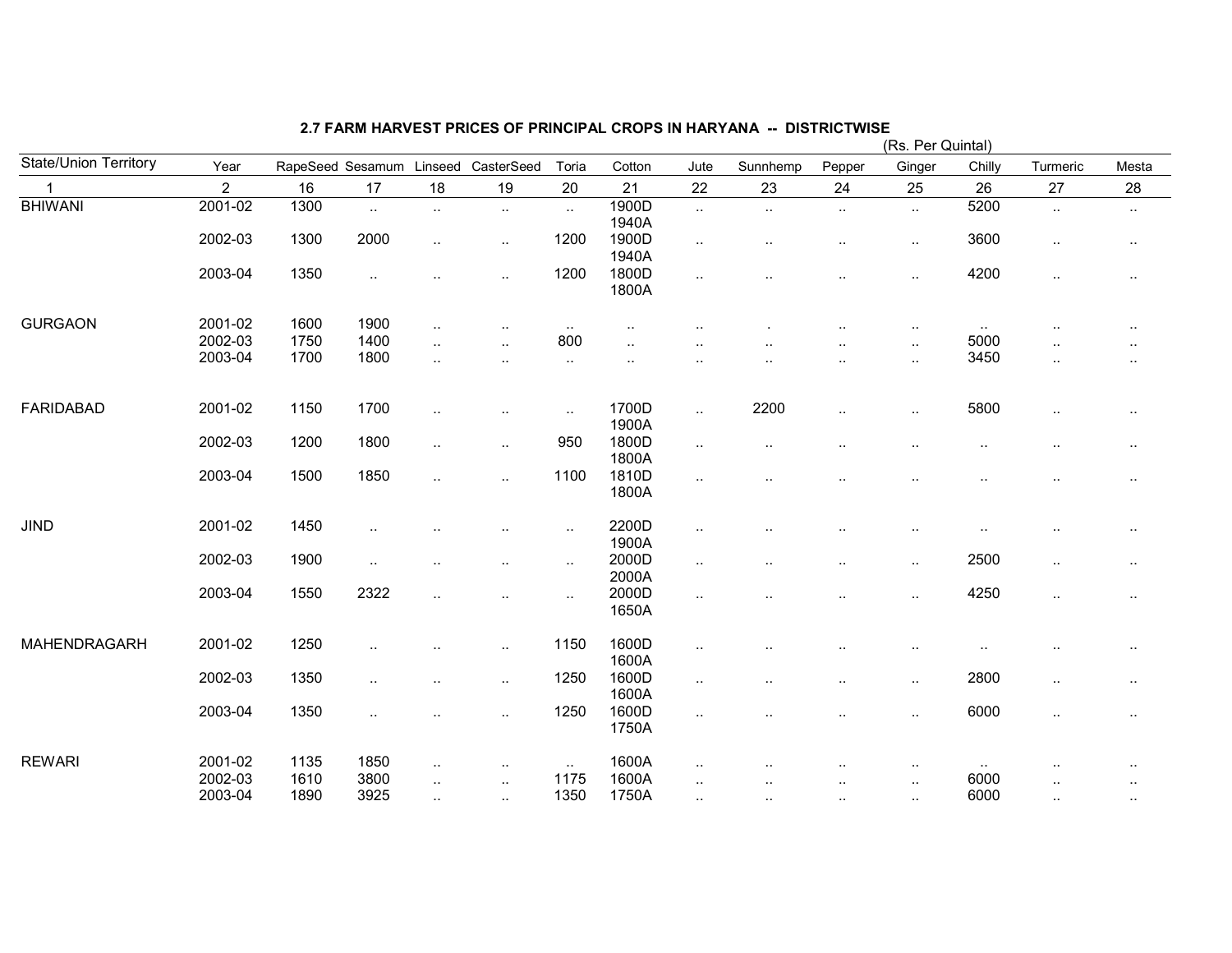|                       |                |      |                      |                      |                      |                        |                |                      |           |           | (Rs. Per Quintal)    |           |                      |                      |
|-----------------------|----------------|------|----------------------|----------------------|----------------------|------------------------|----------------|----------------------|-----------|-----------|----------------------|-----------|----------------------|----------------------|
| State/Union Territory | Year           |      | RapeSeed Sesamum     | Linseed              | CasterSeed           | Toria                  | Cotton         | Jute                 | Sunnhemp  | Pepper    | Ginger               | Chilly    | Turmeric             | Mesta                |
|                       | $\overline{2}$ | 16   | 17                   | 18                   | 19                   | 20                     | 21             | 22                   | 23        | 24        | 25                   | 26        | 27                   | 28                   |
| <b>BHIWANI</b>        | $2001 - 02$    | 1300 | $\ddot{\phantom{a}}$ | $\mathbf{L}$         | $\ldots$             | $\sim$                 | 1900D<br>1940A | $\sim$               | $\ldots$  | $\sim$    | $\sim$               | 5200      | $\sim$               | $\sim$               |
|                       | 2002-03        | 1300 | 2000                 | $\ldots$             | $\cdot$ .            | 1200                   | 1900D<br>1940A | $\sim$               |           | $\cdot$ . | $\sim$               | 3600      | $\sim$               | $\sim$               |
|                       | 2003-04        | 1350 | $\ldots$             | $\ddot{\phantom{a}}$ | $\cdot$ .            | 1200                   | 1800D<br>1800A | $\cdot$ .            |           | $\cdot$ . | $\sim$               | 4200      | $\sim$               | $\sim$               |
| <b>GURGAON</b>        | 2001-02        | 1600 | 1900                 | $\sim$               | $\ddot{\phantom{a}}$ | $\sim$                 |                |                      |           | ٠.        | $\sim$               | $\sim$    | $\cdot$ .            | $\sim$               |
|                       | 2002-03        | 1750 | 1400                 | $\ddotsc$            | $\ddot{\phantom{a}}$ | 800                    |                |                      |           | ٠.        | $\sim$               | 5000      |                      | $\ddotsc$            |
|                       | 2003-04        | 1700 | 1800                 | $\ddotsc$            | $\cdot$ .            | $\ddotsc$              | $\cdot$ .      | $\ddot{\phantom{a}}$ |           |           | $\sim$               | 3450      | $\ddot{\phantom{a}}$ | $\ddot{\phantom{a}}$ |
| <b>FARIDABAD</b>      | 2001-02        | 1150 | 1700                 | $\ddotsc$            | $\ddot{\phantom{0}}$ | $\ddot{\phantom{a}}$ . | 1700D<br>1900A | $\ddotsc$            | 2200      | $\ddotsc$ | $\ddotsc$            | 5800      | $\cdot$ .            | $\sim$               |
|                       | 2002-03        | 1200 | 1800                 | $\ldots$             | $\cdot$ .            | 950                    | 1800D<br>1800A | $\sim$               | $\ddotsc$ |           | $\ddotsc$            | $\ddotsc$ | $\ddotsc$            | $\sim$               |
|                       | 2003-04        | 1500 | 1850                 | $\ddotsc$            | $\ddot{\phantom{a}}$ | 1100                   | 1810D<br>1800A | $\cdot$ .            |           |           |                      | $\ddotsc$ | $\cdot$ .            | $\sim$               |
| <b>JIND</b>           | 2001-02        | 1450 |                      |                      | $\ddot{\phantom{a}}$ | $\ddotsc$              | 2200D<br>1900A | $\ddotsc$            |           |           | $\ddot{\phantom{1}}$ |           |                      | $\sim$               |
|                       | 2002-03        | 1900 | $\ddotsc$            |                      | $\ddot{\phantom{0}}$ | $\ddotsc$              | 2000D<br>2000A | $\ldots$             |           |           | $\sim$               | 2500      | $\sim$               | $\sim$               |
|                       | 2003-04        | 1550 | 2322                 | $\ddotsc$            | $\cdot$ .            | $\sim$                 | 2000D<br>1650A | $\ddotsc$            |           |           | $\sim$               | 4250      | $\sim$               | $\sim$               |
| MAHENDRAGARH          | 2001-02        | 1250 | $\ddotsc$            | $\ddotsc$            | $\ddot{\phantom{a}}$ | 1150                   | 1600D<br>1600A | $\ddot{\phantom{a}}$ |           |           |                      | $\ddotsc$ | $\ddotsc$            | $\sim$               |
|                       | 2002-03        | 1350 | $\cdot$ .            |                      | $\ddotsc$            | 1250                   | 1600D<br>1600A | $\cdot$ .            |           |           | $\sim$               | 2800      | $\cdot$ .            | $\sim$               |
|                       | 2003-04        | 1350 | $\ddotsc$            | $\ddot{\phantom{a}}$ | $\ddot{\phantom{a}}$ | 1250                   | 1600D<br>1750A | $\cdot$ .            |           | $\cdot$ . | $\sim$               | 6000      | $\sim$               | $\sim$               |
| <b>REWARI</b>         | 2001-02        | 1135 | 1850                 | $\sim$               | $\ddot{\phantom{0}}$ | $\sim$ $\sim$          | 1600A          | $\ddotsc$            |           |           | $\cdot$ .            | $\sim$    |                      | ٠.                   |
|                       | 2002-03        | 1610 | 3800                 | $\sim$ $\sim$        | $\ddot{\phantom{0}}$ | 1175                   | 1600A          |                      |           |           | $\cdot$ .            | 6000      |                      |                      |
|                       | 2003-04        | 1890 | 3925                 | $\sim$               | $\ddot{\phantom{0}}$ | 1350                   | 1750A          | $\sim$ $\sim$        | $\sim$    | $\cdot$ . | $\cdot$ .            | 6000      | $\sim$               | $\sim$               |